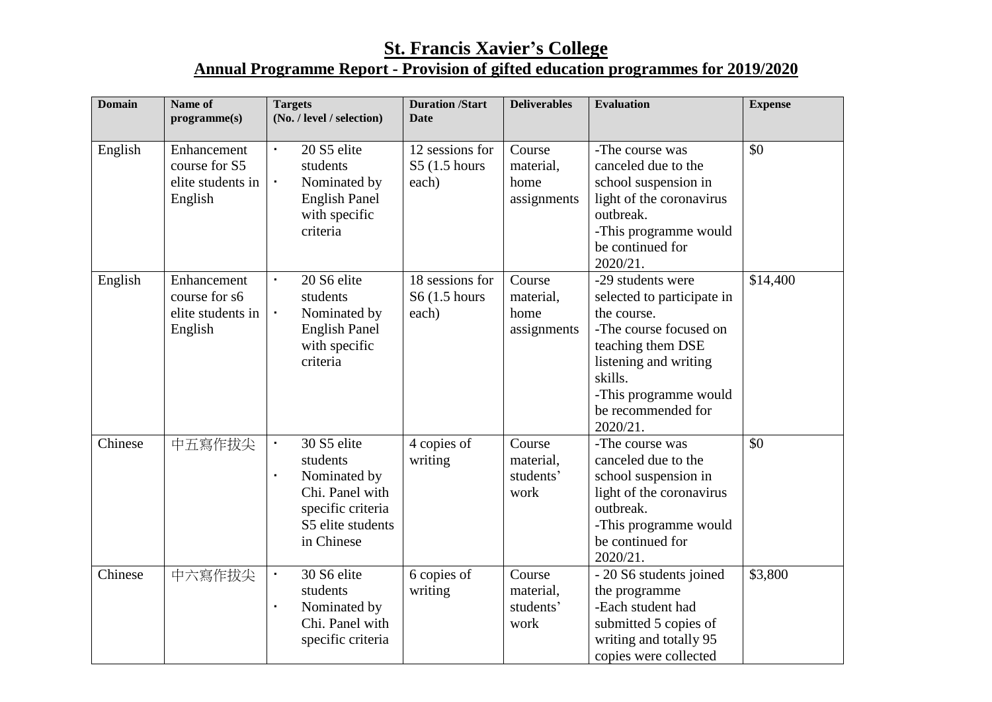## **St. Francis Xavier's College Annual Programme Report - Provision of gifted education programmes for 2019/2020**

| <b>Domain</b> | Name of<br>programme(s)                                      | <b>Targets</b><br>(No. / level / selection)                                                                                      | <b>Duration /Start</b><br><b>Date</b>                  | <b>Deliverables</b>                        | <b>Evaluation</b>                                                                                                                                                                                            | <b>Expense</b> |
|---------------|--------------------------------------------------------------|----------------------------------------------------------------------------------------------------------------------------------|--------------------------------------------------------|--------------------------------------------|--------------------------------------------------------------------------------------------------------------------------------------------------------------------------------------------------------------|----------------|
| English       | Enhancement<br>course for S5<br>elite students in<br>English | 20 S5 elite<br>$\blacksquare$<br>students<br>Nominated by<br>$\blacksquare$<br><b>English Panel</b><br>with specific<br>criteria | 12 sessions for<br>S5 (1.5 hours<br>each)              | Course<br>material,<br>home<br>assignments | -The course was<br>canceled due to the<br>school suspension in<br>light of the coronavirus<br>outbreak.<br>-This programme would<br>be continued for<br>2020/21.                                             | \$0            |
| English       | Enhancement<br>course for s6<br>elite students in<br>English | 20 S6 elite<br>$\blacksquare$<br>students<br>Nominated by<br>$\blacksquare$<br><b>English Panel</b><br>with specific<br>criteria | $\overline{18}$ sessions for<br>S6 (1.5 hours<br>each) | Course<br>material,<br>home<br>assignments | -29 students were<br>selected to participate in<br>the course.<br>-The course focused on<br>teaching them DSE<br>listening and writing<br>skills.<br>-This programme would<br>be recommended for<br>2020/21. | \$14,400       |
| Chinese       | 中五寫作拔尖                                                       | 30 S5 elite<br>٠<br>students<br>Nominated by<br>٠<br>Chi. Panel with<br>specific criteria<br>S5 elite students<br>in Chinese     | 4 copies of<br>writing                                 | Course<br>material,<br>students'<br>work   | -The course was<br>canceled due to the<br>school suspension in<br>light of the coronavirus<br>outbreak.<br>-This programme would<br>be continued for<br>2020/21.                                             | \$0            |
| Chinese       | 中六寫作拔尖                                                       | 30 S6 elite<br>$\blacksquare$<br>students<br>Nominated by<br>$\bullet$<br>Chi. Panel with<br>specific criteria                   | 6 copies of<br>writing                                 | Course<br>material,<br>students'<br>work   | - 20 S6 students joined<br>the programme<br>-Each student had<br>submitted 5 copies of<br>writing and totally 95<br>copies were collected                                                                    | \$3,800        |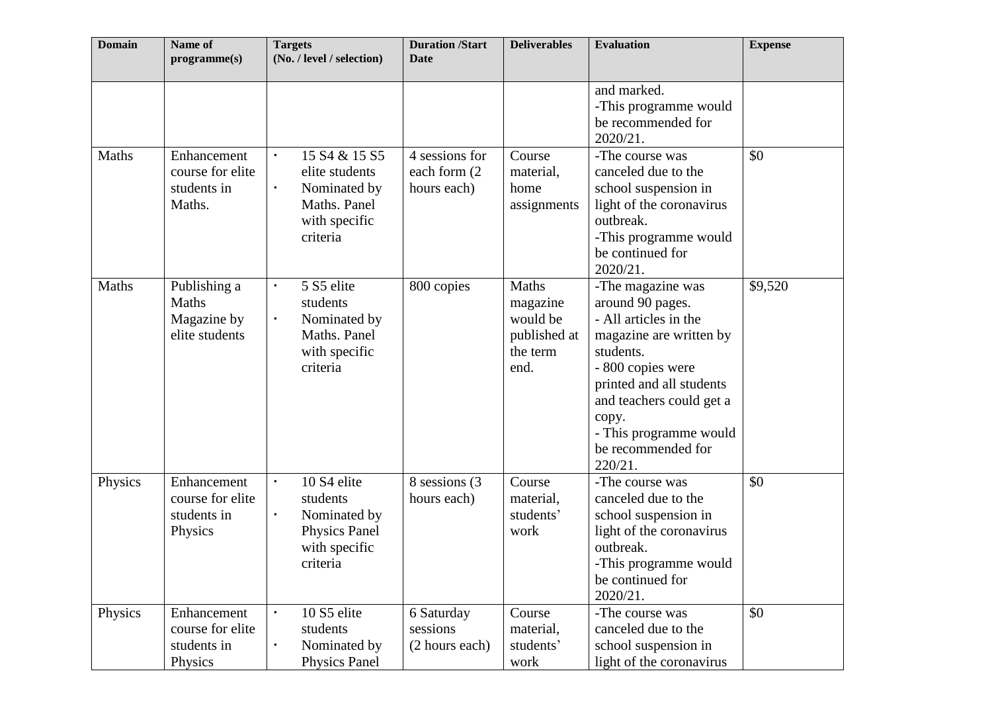| <b>Domain</b> | Name of<br>programme(s)                                   | <b>Targets</b><br>(No. / level / selection)                                                                                            | <b>Duration /Start</b><br><b>Date</b>          | <b>Deliverables</b>                                               | <b>Evaluation</b>                                                                                                                                                                                                                                       | <b>Expense</b> |
|---------------|-----------------------------------------------------------|----------------------------------------------------------------------------------------------------------------------------------------|------------------------------------------------|-------------------------------------------------------------------|---------------------------------------------------------------------------------------------------------------------------------------------------------------------------------------------------------------------------------------------------------|----------------|
|               |                                                           |                                                                                                                                        |                                                |                                                                   | and marked.<br>-This programme would<br>be recommended for<br>2020/21.                                                                                                                                                                                  |                |
| Maths         | Enhancement<br>course for elite<br>students in<br>Maths.  | 15 S <sub>4</sub> & 15 S <sub>5</sub><br>elite students<br>Nominated by<br>$\blacksquare$<br>Maths. Panel<br>with specific<br>criteria | 4 sessions for<br>each form (2)<br>hours each) | Course<br>material,<br>home<br>assignments                        | -The course was<br>canceled due to the<br>school suspension in<br>light of the coronavirus<br>outbreak.<br>-This programme would<br>be continued for<br>2020/21.                                                                                        | \$0            |
| Maths         | Publishing a<br>Maths<br>Magazine by<br>elite students    | 5 S5 elite<br>٠<br>students<br>Nominated by<br>٠<br>Maths. Panel<br>with specific<br>criteria                                          | 800 copies                                     | Maths<br>magazine<br>would be<br>published at<br>the term<br>end. | -The magazine was<br>around 90 pages.<br>- All articles in the<br>magazine are written by<br>students.<br>- 800 copies were<br>printed and all students<br>and teachers could get a<br>copy.<br>- This programme would<br>be recommended for<br>220/21. | \$9,520        |
| Physics       | Enhancement<br>course for elite<br>students in<br>Physics | 10 S4 elite<br>$\blacksquare$<br>students<br>Nominated by<br>×<br><b>Physics Panel</b><br>with specific<br>criteria                    | 8 sessions (3)<br>hours each)                  | Course<br>material,<br>students'<br>work                          | -The course was<br>canceled due to the<br>school suspension in<br>light of the coronavirus<br>outbreak.<br>-This programme would<br>be continued for<br>2020/21.                                                                                        | \$0            |
| Physics       | Enhancement<br>course for elite<br>students in<br>Physics | 10 S5 elite<br>$\blacksquare$<br>students<br>Nominated by<br>٠<br><b>Physics Panel</b>                                                 | 6 Saturday<br>sessions<br>(2 hours each)       | Course<br>material,<br>students'<br>work                          | -The course was<br>canceled due to the<br>school suspension in<br>light of the coronavirus                                                                                                                                                              | \$0            |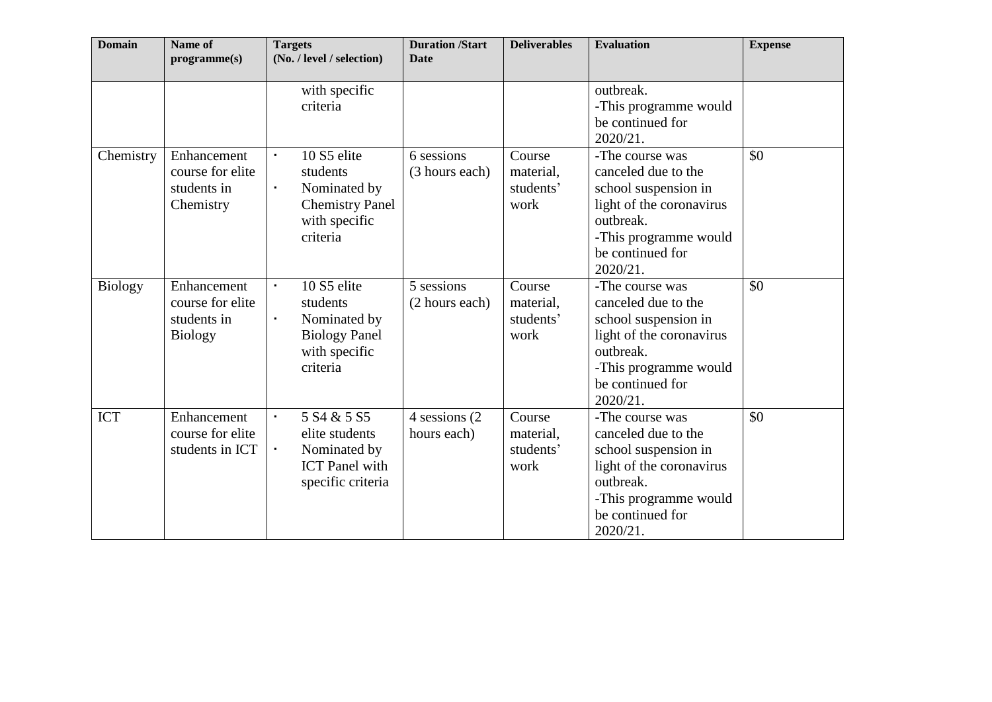| <b>Domain</b>  | Name of<br>programme(s)                                          | <b>Targets</b><br>(No. / level / selection)                                                                                        | <b>Duration /Start</b><br><b>Date</b> | <b>Deliverables</b>                      | <b>Evaluation</b>                                                                                                                                                | <b>Expense</b> |
|----------------|------------------------------------------------------------------|------------------------------------------------------------------------------------------------------------------------------------|---------------------------------------|------------------------------------------|------------------------------------------------------------------------------------------------------------------------------------------------------------------|----------------|
|                |                                                                  | with specific<br>criteria                                                                                                          |                                       |                                          | outbreak.<br>-This programme would<br>be continued for<br>2020/21.                                                                                               |                |
| Chemistry      | Enhancement<br>course for elite<br>students in<br>Chemistry      | 10 S5 elite<br>$\blacksquare$<br>students<br>Nominated by<br>$\blacksquare$<br><b>Chemistry Panel</b><br>with specific<br>criteria | 6 sessions<br>(3 hours each)          | Course<br>material,<br>students'<br>work | -The course was<br>canceled due to the<br>school suspension in<br>light of the coronavirus<br>outbreak.<br>-This programme would<br>be continued for<br>2020/21. | \$0            |
| <b>Biology</b> | Enhancement<br>course for elite<br>students in<br><b>Biology</b> | 10 S5 elite<br>$\blacksquare$<br>students<br>Nominated by<br>٠<br><b>Biology Panel</b><br>with specific<br>criteria                | 5 sessions<br>(2 hours each)          | Course<br>material,<br>students'<br>work | -The course was<br>canceled due to the<br>school suspension in<br>light of the coronavirus<br>outbreak.<br>-This programme would<br>be continued for<br>2020/21. | \$0            |
| <b>ICT</b>     | Enhancement<br>course for elite<br>students in ICT               | 5 S4 & 5 S5<br>$\blacksquare$<br>elite students<br>Nominated by<br>٠<br><b>ICT</b> Panel with<br>specific criteria                 | 4 sessions (2)<br>hours each)         | Course<br>material,<br>students'<br>work | -The course was<br>canceled due to the<br>school suspension in<br>light of the coronavirus<br>outbreak.<br>-This programme would<br>be continued for<br>2020/21. | \$0            |